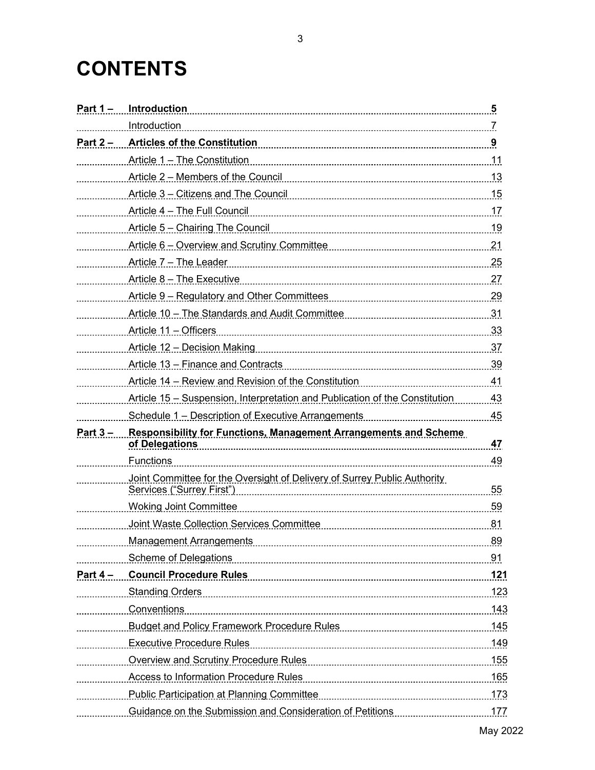## **CONTENTS**

| Part $1 -$ | Introduction                                                                                                   | 5   |
|------------|----------------------------------------------------------------------------------------------------------------|-----|
|            | Introduction                                                                                                   | 7   |
| Part $2 -$ |                                                                                                                |     |
|            | Article 1 - The Constitution                                                                                   | 11  |
|            | Article 2 – Members of the Council                                                                             |     |
|            | Article 3 - Citizens and The Council                                                                           | .15 |
|            | Article 4 - The Full Council                                                                                   |     |
|            | Article 5 - Chairing The Council                                                                               | .19 |
|            |                                                                                                                | .21 |
|            | Article 7 - The Leader                                                                                         | 25  |
|            | Article 8 - The Executive                                                                                      |     |
|            |                                                                                                                |     |
|            |                                                                                                                |     |
|            | Article 11 - Officers                                                                                          |     |
|            | Article 12 - Decision Making                                                                                   |     |
|            | Article 13 - Finance and Contracts                                                                             |     |
|            | Article 14 – Review and Revision of the Constitution                                                           |     |
|            | Article 15 – Suspension, Interpretation and Publication of the Constitution 43                                 |     |
|            | Schedule 1 - Description of Executive Arrangements                                                             | 45  |
| Part $3 -$ | <b>Responsibility for Functions, Management Arrangements and Scheme</b><br>of Delegations                      | 47  |
|            | <b>Functions</b>                                                                                               | 49  |
|            | Joint Committee for the Oversight of Delivery of Surrey Public Authority<br>Services ("Surrey First")          | 55  |
|            | <b>Woking Joint Committee</b>                                                                                  | 59  |
|            | Joint Waste Collection Services Committee                                                                      |     |
|            |                                                                                                                | 89  |
|            |                                                                                                                |     |
|            | <u>Part 4 – Council Procedure Rules [1986]</u> Part 4 – Council Procedure Rules [1986]                         |     |
|            | Standing Orders (123) 323                                                                                      |     |
|            | <u>Conventions</u>                                                                                             |     |
|            |                                                                                                                |     |
|            | Executive Procedure Rules                                                                                      |     |
|            | Overview and Scrutiny Procedure Rules [1983] [1983] Contains a supervisor of the Manus Muslim Muslim Muslim Mu |     |
|            |                                                                                                                |     |
|            |                                                                                                                |     |
|            | Guidance on the Submission and Consideration of Petitions                                                      | 177 |